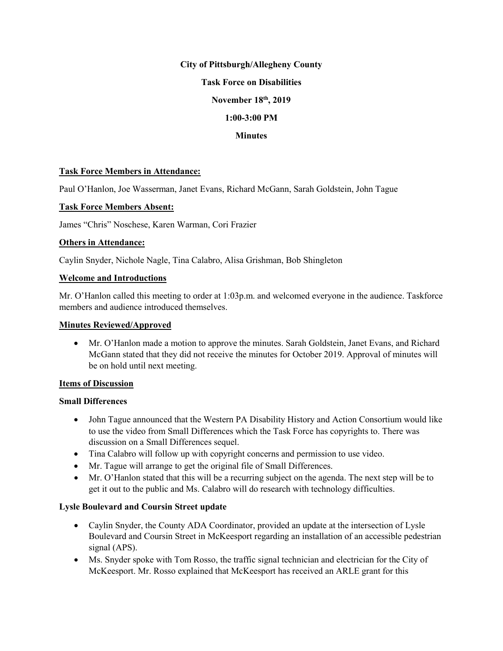#### **City of Pittsburgh/Allegheny County**

### **Task Force on Disabilities**

## **November 18th, 2019**

### **1:00-3:00 PM**

### **Minutes**

#### **Task Force Members in Attendance:**

Paul O'Hanlon, Joe Wasserman, Janet Evans, Richard McGann, Sarah Goldstein, John Tague

### **Task Force Members Absent:**

James "Chris" Noschese, Karen Warman, Cori Frazier

#### **Others in Attendance:**

Caylin Snyder, Nichole Nagle, Tina Calabro, Alisa Grishman, Bob Shingleton

### **Welcome and Introductions**

Mr. O'Hanlon called this meeting to order at 1:03p.m. and welcomed everyone in the audience. Taskforce members and audience introduced themselves.

### **Minutes Reviewed/Approved**

• Mr. O'Hanlon made a motion to approve the minutes. Sarah Goldstein, Janet Evans, and Richard McGann stated that they did not receive the minutes for October 2019. Approval of minutes will be on hold until next meeting.

#### **Items of Discussion**

#### **Small Differences**

- John Tague announced that the Western PA Disability History and Action Consortium would like to use the video from Small Differences which the Task Force has copyrights to. There was discussion on a Small Differences sequel.
- Tina Calabro will follow up with copyright concerns and permission to use video.
- Mr. Tague will arrange to get the original file of Small Differences.
- Mr. O'Hanlon stated that this will be a recurring subject on the agenda. The next step will be to get it out to the public and Ms. Calabro will do research with technology difficulties.

## **Lysle Boulevard and Coursin Street update**

- Caylin Snyder, the County ADA Coordinator, provided an update at the intersection of Lysle Boulevard and Coursin Street in McKeesport regarding an installation of an accessible pedestrian signal (APS).
- Ms. Snyder spoke with Tom Rosso, the traffic signal technician and electrician for the City of McKeesport. Mr. Rosso explained that McKeesport has received an ARLE grant for this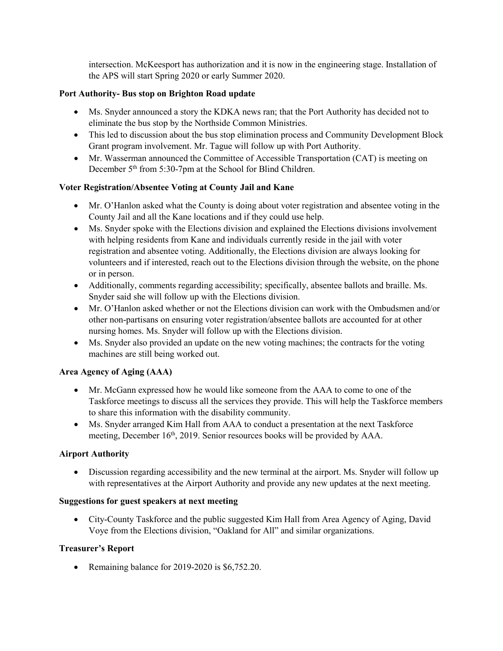intersection. McKeesport has authorization and it is now in the engineering stage. Installation of the APS will start Spring 2020 or early Summer 2020.

## **Port Authority- Bus stop on Brighton Road update**

- Ms. Snyder announced a story the KDKA news ran; that the Port Authority has decided not to eliminate the bus stop by the Northside Common Ministries.
- This led to discussion about the bus stop elimination process and Community Development Block Grant program involvement. Mr. Tague will follow up with Port Authority.
- Mr. Wasserman announced the Committee of Accessible Transportation (CAT) is meeting on December 5<sup>th</sup> from 5:30-7pm at the School for Blind Children.

## **Voter Registration/Absentee Voting at County Jail and Kane**

- Mr. O'Hanlon asked what the County is doing about voter registration and absentee voting in the County Jail and all the Kane locations and if they could use help.
- Ms. Snyder spoke with the Elections division and explained the Elections divisions involvement with helping residents from Kane and individuals currently reside in the jail with voter registration and absentee voting. Additionally, the Elections division are always looking for volunteers and if interested, reach out to the Elections division through the website, on the phone or in person.
- Additionally, comments regarding accessibility; specifically, absentee ballots and braille. Ms. Snyder said she will follow up with the Elections division.
- Mr. O'Hanlon asked whether or not the Elections division can work with the Ombudsmen and/or other non-partisans on ensuring voter registration/absentee ballots are accounted for at other nursing homes. Ms. Snyder will follow up with the Elections division.
- Ms. Snyder also provided an update on the new voting machines; the contracts for the voting machines are still being worked out.

## **Area Agency of Aging (AAA)**

- Mr. McGann expressed how he would like someone from the AAA to come to one of the Taskforce meetings to discuss all the services they provide. This will help the Taskforce members to share this information with the disability community.
- Ms. Snyder arranged Kim Hall from AAA to conduct a presentation at the next Taskforce meeting, December 16<sup>th</sup>, 2019. Senior resources books will be provided by AAA.

## **Airport Authority**

• Discussion regarding accessibility and the new terminal at the airport. Ms. Snyder will follow up with representatives at the Airport Authority and provide any new updates at the next meeting.

## **Suggestions for guest speakers at next meeting**

• City-County Taskforce and the public suggested Kim Hall from Area Agency of Aging, David Voye from the Elections division, "Oakland for All" and similar organizations.

# **Treasurer's Report**

• Remaining balance for 2019-2020 is \$6,752.20.